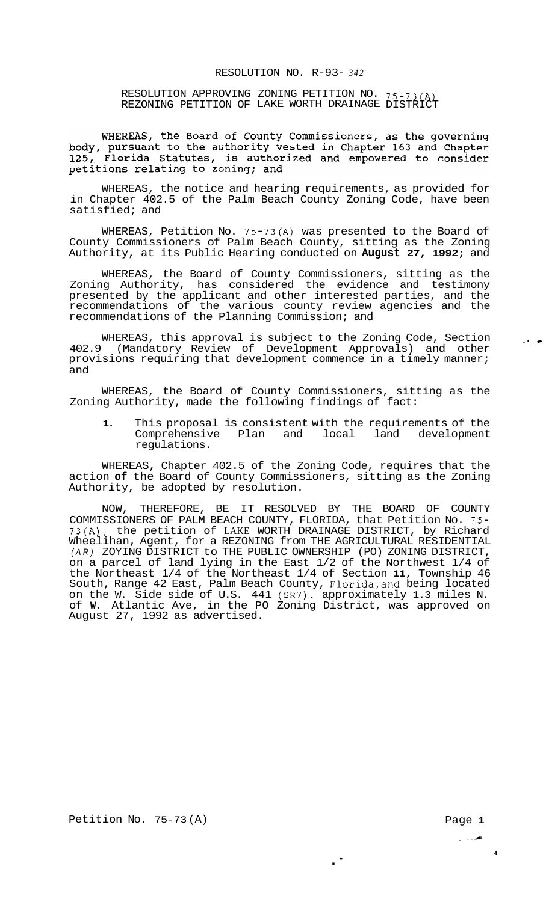## RESOLUTION NO. R-93- *342*

RESOLUTION APPROVING ZONING PETITION NO. 75-73(A) REZONING PETITION OF LAKE WORTH DRAINAGE DISTRICT

WHEREAS, the Board of County Commissioners, as the governing body, pursuant to the authority vested in Chapter 163 and Chapter  $125,$ Florida Statutes, is authorized and empowered to consider petitions relating to zoning; and

WHEREAS, the notice and hearing requirements, as provided for in Chapter 402.5 of the Palm Beach County Zoning Code, have been satisfied; and

WHEREAS, Petition No. 75-73(A) was presented to the Board of County Commissioners of Palm Beach County, sitting as the Zoning Authority, at its Public Hearing conducted on **August 27, 1992;** and

WHEREAS, the Board of County Commissioners, sitting as the Zoning Authority, has considered the evidence and testimony presented by the applicant and other interested parties, and the recommendations of the various county review agencies and the recommendations of the Planning Commission; and

WHEREAS, this approval is subject **to** the Zoning Code, Section 402.9 (Mandatory Review of Development Approvals) and other provisions requiring that development commence in a timely manner; and

WHEREAS, the Board of County Commissioners, sitting as the Zoning Authority, made the following findings of fact:

**1.** This proposal is consistent with the requirements of the Comprehensive Plan and local land development regulations.

WHEREAS, Chapter 402.5 of the Zoning Code, requires that the action **of** the Board of County Commissioners, sitting as the Zoning Authority, be adopted by resolution.

NOW, THEREFORE, BE IT RESOLVED BY THE BOARD OF COUNTY COMMISSIONERS OF PALM BEACH COUNTY, FLORIDA, that Petition No. 75- 73(A), the petition of LAKE WORTH DRAINAGE DISTRICT, by Richard Wheelihan, Agent, for a REZONING from THE AGRICULTURAL RESIDENTIAL *(AR)* ZOYING DISTRICT to THE PUBLIC OWNERSHIP (PO) ZONING DISTRICT, on a parcel of land lying in the East 1/2 of the Northwest 1/4 of the Northeast 1/4 of the Northeast 1/4 of Section **11,** Township 46 South, Range 42 East, Palm Beach County, Florida,and being located on the W. Side side of U.S. 441 (SR7). approximately 1.3 miles N. of **W.** Atlantic Ave, in the PO Zoning District, was approved on August 27, 1992 as advertised.

. -

- **.a** 

**\*I** 

**.I** *c*